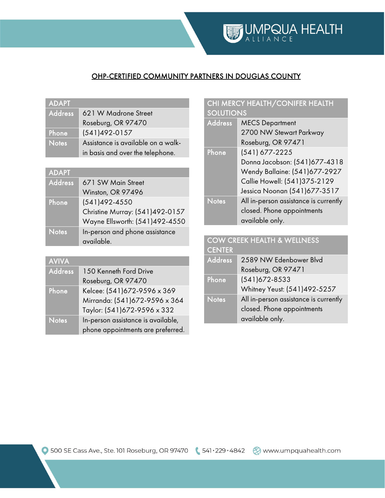### OHP-CERTIFIED COMMUNITY PARTNERS IN DOUGLAS COUNTY

| <b>ADAPT</b>   |                                    |
|----------------|------------------------------------|
| <b>Address</b> | 621 W Madrone Street               |
|                | Roseburg, OR 97470                 |
| Phone          | $(541)492-0157$                    |
| <b>Notes</b>   | Assistance is available on a walk- |
|                | in basis and over the telephone.   |

| <b>ADAPT</b>   |                                              |
|----------------|----------------------------------------------|
| <b>Address</b> | 671 SW Main Street                           |
|                | Winston, OR 97496                            |
| Phone          | $(541)492 - 4550$                            |
|                | Christine Murray: (541)492-0157              |
|                | Wayne Ellsworth: (541)492-4550               |
| <b>Notes</b>   | In-person and phone assistance<br>available. |

| <b>AVIVA</b>   |                                    |
|----------------|------------------------------------|
| <b>Address</b> | 150 Kenneth Ford Drive             |
|                | Roseburg, OR 97470                 |
| Phone          | Kelcee: (541)672-9596 x 369        |
|                | Mirranda: (541)672-9596 x 364      |
|                | Taylor: (541)672-9596 x 332        |
| <b>Notes</b>   | In-person assistance is available, |
|                | phone appointments are preferred.  |

### CHI MERCY HEALTH/CONIFER HEALTH SOLUTIONS

| <b>Address</b> | <b>MECS Department</b>                |
|----------------|---------------------------------------|
|                | 2700 NW Stewart Parkway               |
|                | Roseburg, OR 97471                    |
| Phone          | (541) 677-2225                        |
|                | Donna Jacobson: (541)677-4318         |
|                | Wendy Ballaine: (541)677-2927         |
|                | Callie Howell: (541)375-2129          |
|                | Jessica Noonan (541) 677-3517         |
| <b>Notes</b>   | All in-person assistance is currently |
|                | closed. Phone appointments            |
|                | available only.                       |

#### COW CREEK HEALTH & WELLNESS CENTER

| ---------      |                                       |
|----------------|---------------------------------------|
| <b>Address</b> | 2589 NW Edenbower Blvd                |
|                | Roseburg, OR 97471                    |
| Phone          | $(541)672 - 8533$                     |
|                | Whitney Yeust: (541)492-5257          |
| <b>Notes</b>   | All in-person assistance is currently |
|                | closed. Phone appointments            |
|                | available only.                       |